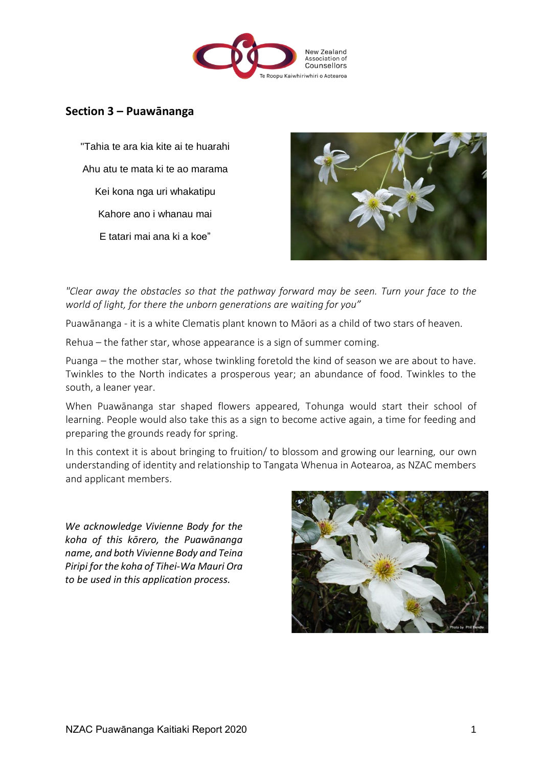

# **Section 3 – Puawānanga**

"Tahia te ara kia kite ai te huarahi Ahu atu te mata ki te ao marama Kei kona nga uri whakatipu Kahore ano i whanau mai E tatari mai ana ki a koe"



*"Clear away the obstacles so that the pathway forward may be seen. Turn your face to the world of light, for there the unborn generations are waiting for you"*

Puawānanga - it is a white Clematis plant known to Māori as a child of two stars of heaven.

Rehua – the father star, whose appearance is a sign of summer coming.

Puanga – the mother star, whose twinkling foretold the kind of season we are about to have. Twinkles to the North indicates a prosperous year; an abundance of food. Twinkles to the south, a leaner year.

When Puawānanga star shaped flowers appeared, Tohunga would start their school of learning. People would also take this as a sign to become active again, a time for feeding and preparing the grounds ready for spring.

In this context it is about bringing to fruition/ to blossom and growing our learning, our own understanding of identity and relationship to Tangata Whenua in Aotearoa, as NZAC members and applicant members.

*We acknowledge Vivienne Body for the koha of this kōrero, the Puawānanga name, and both Vivienne Body and Teina Piripi for the koha of Tihei-Wa Mauri Ora to be used in this application process.*

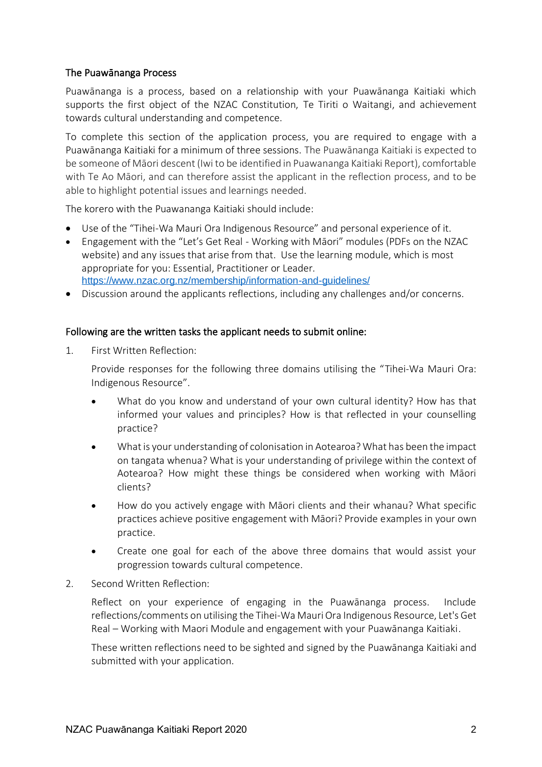## The Puawānanga Process

Puawānanga is a process, based on a relationship with your Puawānanga Kaitiaki which supports the first object of the NZAC Constitution, Te Tiriti o Waitangi, and achievement towards cultural understanding and competence.

To complete this section of the application process, you are required to engage with a Puawānanga Kaitiaki for a minimum of three sessions. The Puawānanga Kaitiaki is expected to be someone of Māori descent (Iwi to be identified in Puawananga Kaitiaki Report), comfortable with Te Ao Māori, and can therefore assist the applicant in the reflection process, and to be able to highlight potential issues and learnings needed.

The korero with the Puawananga Kaitiaki should include:

- Use of the "Tihei-Wa Mauri Ora Indigenous Resource" and personal experience of it.
- Engagement with the "Let's Get Real Working with Māori" modules (PDFs on the NZAC website) and any issues that arise from that. Use the learning module, which is most appropriate for you: Essential, Practitioner or Leader. <https://www.nzac.org.nz/membership/information-and-guidelines/>
- Discussion around the applicants reflections, including any challenges and/or concerns.

#### Following are the written tasks the applicant needs to submit online:

1. First Written Reflection:

Provide responses for the following three domains utilising the "Tihei-Wa Mauri Ora: Indigenous Resource".

- What do you know and understand of your own cultural identity? How has that informed your values and principles? How is that reflected in your counselling practice?
- What is your understanding of colonisation in Aotearoa? What has been the impact on tangata whenua? What is your understanding of privilege within the context of Aotearoa? How might these things be considered when working with Māori clients?
- How do you actively engage with Māori clients and their whanau? What specific practices achieve positive engagement with Māori? Provide examples in your own practice.
- Create one goal for each of the above three domains that would assist your progression towards cultural competence.
- 2. Second Written Reflection:

Reflect on your experience of engaging in the Puawānanga process. Include reflections/comments on utilising the Tihei-Wa Mauri Ora Indigenous Resource, Let's Get Real – Working with Maori Module and engagement with your Puawānanga Kaitiaki.

These written reflections need to be sighted and signed by the Puawānanga Kaitiaki and submitted with your application.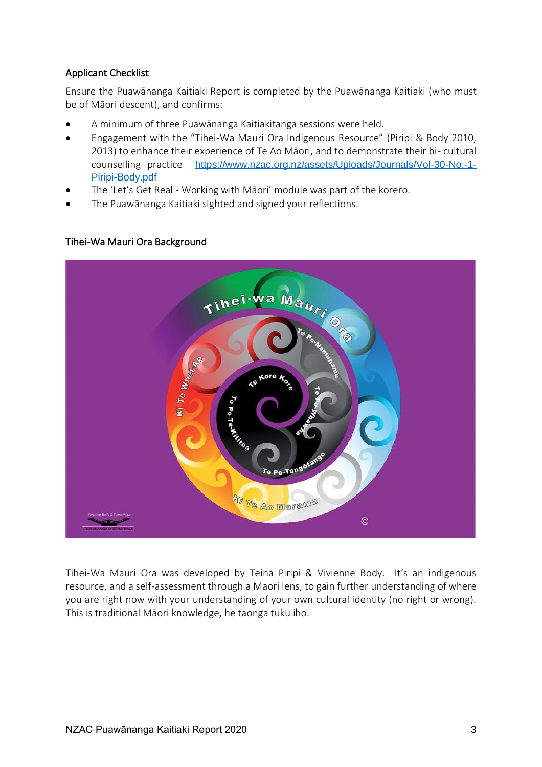## Applicant Checklist

Ensure the Puawānanga Kaitiaki Report is completed by the Puawānanga Kaitiaki (who must be of Māori descent), and confirms:

- A minimum of three Puawānanga Kaitiakitanga sessions were held.
- Engagement with the "Tihei-Wa Mauri Ora Indigenous Resource" (Piripi & Body 2010, 2013) to enhance their experience of Te Ao Māori, and to demonstrate their bi- cultural counselling practice [https://www.nzac.org.nz/assets/Uploads/Journals/Vol-30-No.-1-](https://www.nzac.org.nz/assets/Uploads/Journals/Vol-30-No.-1-Piripi-Body.pdf) [Piripi-Body.pdf](https://www.nzac.org.nz/assets/Uploads/Journals/Vol-30-No.-1-Piripi-Body.pdf)
- The 'Let's Get Real Working with Māori' module was part of the korero.
- The Puawānanga Kaitiaki sighted and signed your reflections.



### Tihei-Wa Mauri Ora Background

Tihei-Wa Mauri Ora was developed by Teina Piripi & Vivienne Body. It's an indigenous resource, and a self-assessment through a Maori lens, to gain further understanding of where you are right now with your understanding of your own cultural identity (no right or wrong). This is traditional Māori knowledge, he taonga tuku iho.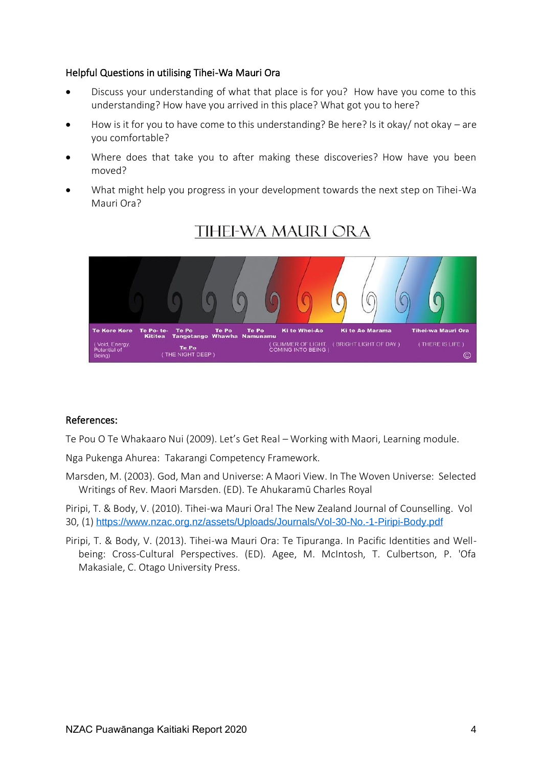#### Helpful Questions in utilising Tihei-Wa Mauri Ora

- Discuss your understanding of what that place is for you? How have you come to this understanding? How have you arrived in this place? What got you to here?
- How is it for you to have come to this understanding? Be here? Is it okay/ not okay are you comfortable?
- Where does that take you to after making these discoveries? How have you been moved?
- What might help you progress in your development towards the next step on Tihei-Wa Mauri Ora?



# **TIHEI-WA MAURI ORA**

#### References:

Te Pou O Te Whakaaro Nui (2009). Let's Get Real – Working with Maori, Learning module.

Nga Pukenga Ahurea: Takarangi Competency Framework.

Marsden, M. (2003). God, Man and Universe: A Maori View. In The Woven Universe: Selected Writings of Rev. Maori Marsden. (ED). Te Ahukaramū Charles Royal

Piripi, T. & Body, V. (2010). Tihei-wa Mauri Ora! The New Zealand Journal of Counselling. Vol 30, (1) <https://www.nzac.org.nz/assets/Uploads/Journals/Vol-30-No.-1-Piripi-Body.pdf>

Piripi, T. & Body, V. (2013). Tihei-wa Mauri Ora: Te Tipuranga. In Pacific Identities and Wellbeing: Cross-Cultural Perspectives. (ED). Agee, M. McIntosh, T. Culbertson, P. 'Ofa Makasiale, C. Otago University Press.